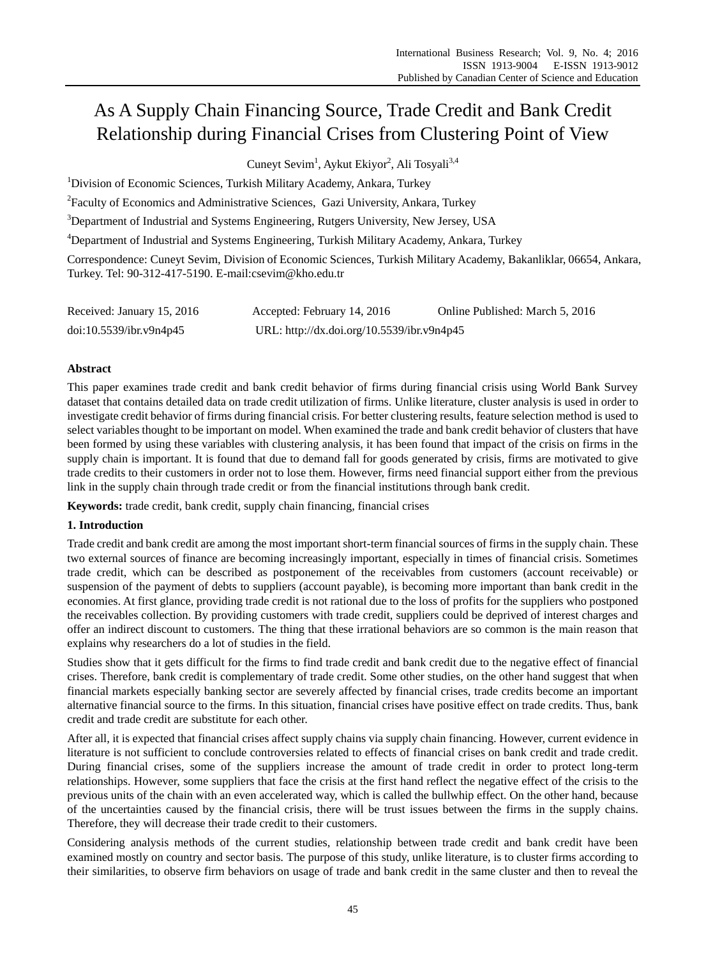# As A Supply Chain Financing Source, Trade Credit and Bank Credit Relationship during Financial Crises from Clustering Point of View

Cuneyt Sevim<sup>1</sup>, Aykut Ekiyor<sup>2</sup>, Ali Tosyali<sup>3,4</sup>

<sup>1</sup>Division of Economic Sciences, Turkish Military Academy, Ankara, Turkey

<sup>2</sup>Faculty of Economics and Administrative Sciences, Gazi University, Ankara, Turkey

<sup>3</sup>Department of Industrial and Systems Engineering, Rutgers University, New Jersey, USA

<sup>4</sup>Department of Industrial and Systems Engineering, Turkish Military Academy, Ankara, Turkey

Correspondence: Cuneyt Sevim, Division of Economic Sciences, Turkish Military Academy, Bakanliklar, 06654, Ankara, Turkey. Tel: 90-312-417-5190. E-mail:csevim@kho.edu.tr

| Received: January 15, 2016 | Accepted: February 14, 2016                | Online Published: March 5, 2016 |
|----------------------------|--------------------------------------------|---------------------------------|
| doi:10.5539/ibr.v9n4p45    | URL: http://dx.doi.org/10.5539/ibr.v9n4p45 |                                 |

## **Abstract**

This paper examines trade credit and bank credit behavior of firms during financial crisis using World Bank Survey dataset that contains detailed data on trade credit utilization of firms. Unlike literature, cluster analysis is used in order to investigate credit behavior of firms during financial crisis. For better clustering results, feature selection method is used to select variables thought to be important on model. When examined the trade and bank credit behavior of clusters that have been formed by using these variables with clustering analysis, it has been found that impact of the crisis on firms in the supply chain is important. It is found that due to demand fall for goods generated by crisis, firms are motivated to give trade credits to their customers in order not to lose them. However, firms need financial support either from the previous link in the supply chain through trade credit or from the financial institutions through bank credit.

**Keywords:** trade credit, bank credit, supply chain financing, financial crises

## **1. Introduction**

Trade credit and bank credit are among the most important short-term financial sources of firms in the supply chain. These two external sources of finance are becoming increasingly important, especially in times of financial crisis. Sometimes trade credit, which can be described as postponement of the receivables from customers (account receivable) or suspension of the payment of debts to suppliers (account payable), is becoming more important than bank credit in the economies. At first glance, providing trade credit is not rational due to the loss of profits for the suppliers who postponed the receivables collection. By providing customers with trade credit, suppliers could be deprived of interest charges and offer an indirect discount to customers. The thing that these irrational behaviors are so common is the main reason that explains why researchers do a lot of studies in the field.

Studies show that it gets difficult for the firms to find trade credit and bank credit due to the negative effect of financial crises. Therefore, bank credit is complementary of trade credit. Some other studies, on the other hand suggest that when financial markets especially banking sector are severely affected by financial crises, trade credits become an important alternative financial source to the firms. In this situation, financial crises have positive effect on trade credits. Thus, bank credit and trade credit are substitute for each other.

After all, it is expected that financial crises affect supply chains via supply chain financing. However, current evidence in literature is not sufficient to conclude controversies related to effects of financial crises on bank credit and trade credit. During financial crises, some of the suppliers increase the amount of trade credit in order to protect long-term relationships. However, some suppliers that face the crisis at the first hand reflect the negative effect of the crisis to the previous units of the chain with an even accelerated way, which is called the bullwhip effect. On the other hand, because of the uncertainties caused by the financial crisis, there will be trust issues between the firms in the supply chains. Therefore, they will decrease their trade credit to their customers.

Considering analysis methods of the current studies, relationship between trade credit and bank credit have been examined mostly on country and sector basis. The purpose of this study, unlike literature, is to cluster firms according to their similarities, to observe firm behaviors on usage of trade and bank credit in the same cluster and then to reveal the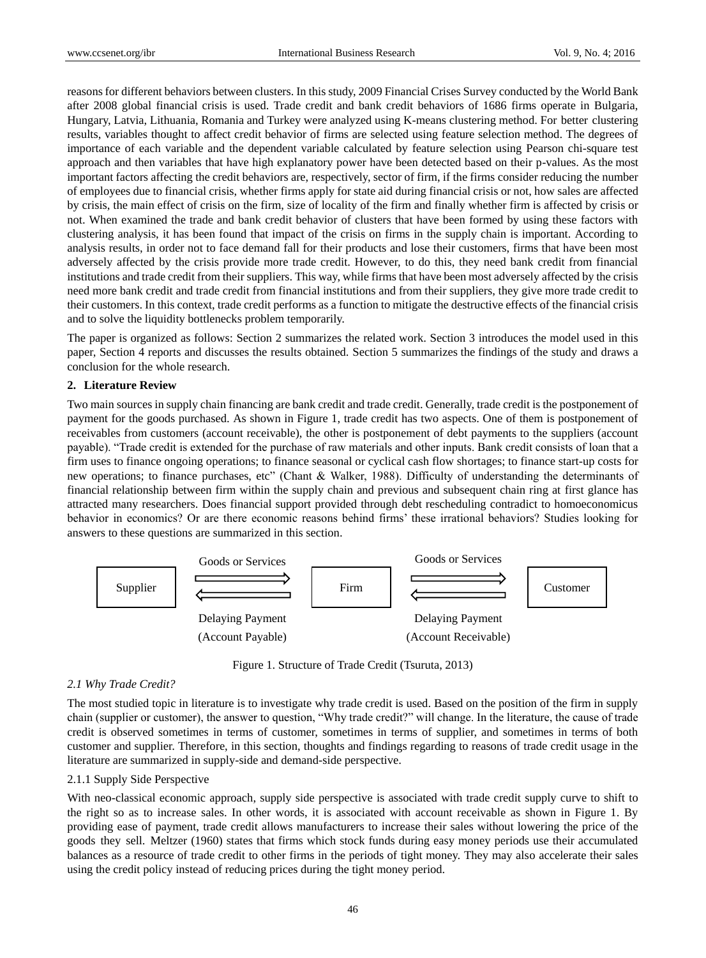reasons for different behaviors between clusters. In this study, 2009 Financial Crises Survey conducted by the World Bank after 2008 global financial crisis is used. Trade credit and bank credit behaviors of 1686 firms operate in Bulgaria, Hungary, Latvia, Lithuania, Romania and Turkey were analyzed using K-means clustering method. For better clustering results, variables thought to affect credit behavior of firms are selected using feature selection method. The degrees of importance of each variable and the dependent variable calculated by feature selection using Pearson chi-square test approach and then variables that have high explanatory power have been detected based on their p-values. As the most important factors affecting the credit behaviors are, respectively, sector of firm, if the firms consider reducing the number of employees due to financial crisis, whether firms apply for state aid during financial crisis or not, how sales are affected by crisis, the main effect of crisis on the firm, size of locality of the firm and finally whether firm is affected by crisis or not. When examined the trade and bank credit behavior of clusters that have been formed by using these factors with clustering analysis, it has been found that impact of the crisis on firms in the supply chain is important. According to analysis results, in order not to face demand fall for their products and lose their customers, firms that have been most adversely affected by the crisis provide more trade credit. However, to do this, they need bank credit from financial institutions and trade credit from their suppliers. This way, while firms that have been most adversely affected by the crisis need more bank credit and trade credit from financial institutions and from their suppliers, they give more trade credit to their customers. In this context, trade credit performs as a function to mitigate the destructive effects of the financial crisis and to solve the liquidity bottlenecks problem temporarily.

The paper is organized as follows: Section 2 summarizes the related work. Section 3 introduces the model used in this paper, Section 4 reports and discusses the results obtained. Section 5 summarizes the findings of the study and draws a conclusion for the whole research.

### **2. Literature Review**

Two main sources in supply chain financing are bank credit and trade credit. Generally, trade credit is the postponement of payment for the goods purchased. As shown in Figure 1, trade credit has two aspects. One of them is postponement of receivables from customers (account receivable), the other is postponement of debt payments to the suppliers (account payable). "Trade credit is extended for the purchase of raw materials and other inputs. Bank credit consists of loan that a firm uses to finance ongoing operations; to finance seasonal or cyclical cash flow shortages; to finance start-up costs for new operations; to finance purchases, etc" (Chant & Walker, 1988). Difficulty of understanding the determinants of financial relationship between firm within the supply chain and previous and subsequent chain ring at first glance has attracted many researchers. Does financial support provided through debt rescheduling contradict to homoeconomicus behavior in economics? Or are there economic reasons behind firms" these irrational behaviors? Studies looking for answers to these questions are summarized in this section.



Figure 1. Structure of Trade Credit (Tsuruta, 2013)

#### *2.1 Why Trade Credit?*

The most studied topic in literature is to investigate why trade credit is used. Based on the position of the firm in supply chain (supplier or customer), the answer to question, "Why trade credit?" will change. In the literature, the cause of trade credit is observed sometimes in terms of customer, sometimes in terms of supplier, and sometimes in terms of both customer and supplier. Therefore, in this section, thoughts and findings regarding to reasons of trade credit usage in the literature are summarized in supply-side and demand-side perspective.

## 2.1.1 Supply Side Perspective

With neo-classical economic approach, supply side perspective is associated with trade credit supply curve to shift to the right so as to increase sales. In other words, it is associated with account receivable as shown in Figure 1. By providing ease of payment, trade credit allows manufacturers to increase their sales without lowering the price of the goods they sell. Meltzer (1960) states that firms which stock funds during easy money periods use their accumulated balances as a resource of trade credit to other firms in the periods of tight money. They may also accelerate their sales using the credit policy instead of reducing prices during the tight money period.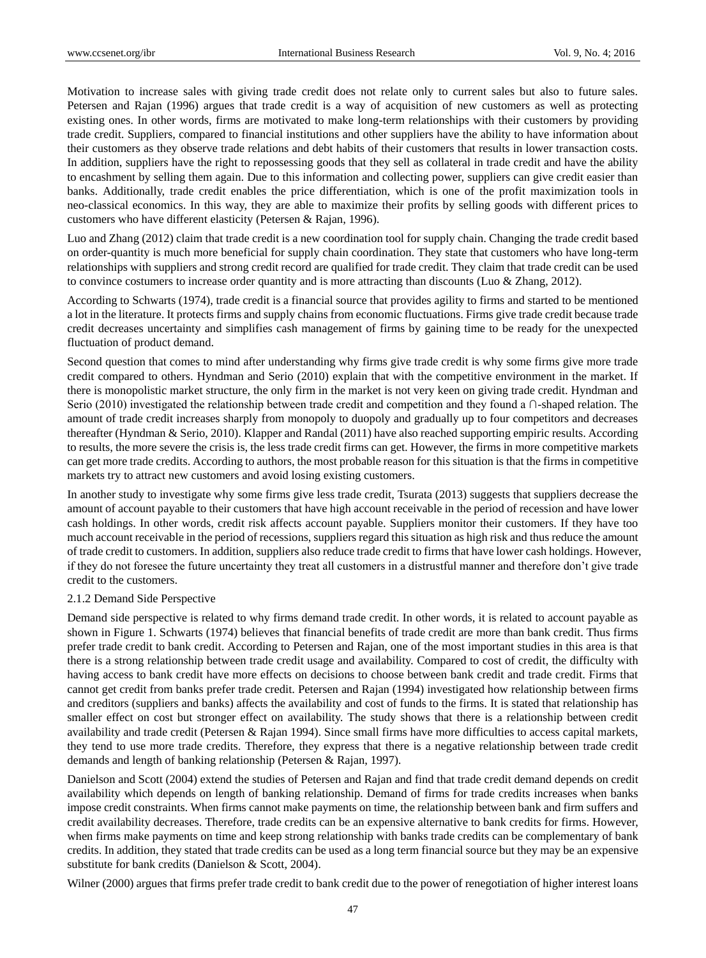Motivation to increase sales with giving trade credit does not relate only to current sales but also to future sales. Petersen and Rajan (1996) argues that trade credit is a way of acquisition of new customers as well as protecting existing ones. In other words, firms are motivated to make long-term relationships with their customers by providing trade credit. Suppliers, compared to financial institutions and other suppliers have the ability to have information about their customers as they observe trade relations and debt habits of their customers that results in lower transaction costs. In addition, suppliers have the right to repossessing goods that they sell as collateral in trade credit and have the ability to encashment by selling them again. Due to this information and collecting power, suppliers can give credit easier than banks. Additionally, trade credit enables the price differentiation, which is one of the profit maximization tools in neo-classical economics. In this way, they are able to maximize their profits by selling goods with different prices to customers who have different elasticity (Petersen & Rajan, 1996).

Luo and Zhang (2012) claim that trade credit is a new coordination tool for supply chain. Changing the trade credit based on order-quantity is much more beneficial for supply chain coordination. They state that customers who have long-term relationships with suppliers and strong credit record are qualified for trade credit. They claim that trade credit can be used to convince costumers to increase order quantity and is more attracting than discounts (Luo & Zhang, 2012).

According to Schwarts (1974), trade credit is a financial source that provides agility to firms and started to be mentioned a lot in the literature. It protects firms and supply chains from economic fluctuations. Firms give trade credit because trade credit decreases uncertainty and simplifies cash management of firms by gaining time to be ready for the unexpected fluctuation of product demand.

Second question that comes to mind after understanding why firms give trade credit is why some firms give more trade credit compared to others. Hyndman and Serio (2010) explain that with the competitive environment in the market. If there is monopolistic market structure, the only firm in the market is not very keen on giving trade credit. Hyndman and Serio (2010) investigated the relationship between trade credit and competition and they found a ∩-shaped relation. The amount of trade credit increases sharply from monopoly to duopoly and gradually up to four competitors and decreases thereafter (Hyndman & Serio, 2010). Klapper and Randal (2011) have also reached supporting empiric results. According to results, the more severe the crisis is, the less trade credit firms can get. However, the firms in more competitive markets can get more trade credits. According to authors, the most probable reason for this situation is that the firms in competitive markets try to attract new customers and avoid losing existing customers.

In another study to investigate why some firms give less trade credit, Tsurata (2013) suggests that suppliers decrease the amount of account payable to their customers that have high account receivable in the period of recession and have lower cash holdings. In other words, credit risk affects account payable. Suppliers monitor their customers. If they have too much account receivable in the period of recessions, suppliers regard this situation as high risk and thus reduce the amount of trade credit to customers. In addition, suppliers also reduce trade credit to firms that have lower cash holdings. However, if they do not foresee the future uncertainty they treat all customers in a distrustful manner and therefore don"t give trade credit to the customers.

#### 2.1.2 Demand Side Perspective

Demand side perspective is related to why firms demand trade credit. In other words, it is related to account payable as shown in Figure 1. Schwarts (1974) believes that financial benefits of trade credit are more than bank credit. Thus firms prefer trade credit to bank credit. According to Petersen and Rajan, one of the most important studies in this area is that there is a strong relationship between trade credit usage and availability. Compared to cost of credit, the difficulty with having access to bank credit have more effects on decisions to choose between bank credit and trade credit. Firms that cannot get credit from banks prefer trade credit. Petersen and Rajan (1994) investigated how relationship between firms and creditors (suppliers and banks) affects the availability and cost of funds to the firms. It is stated that relationship has smaller effect on cost but stronger effect on availability. The study shows that there is a relationship between credit availability and trade credit (Petersen & Rajan 1994). Since small firms have more difficulties to access capital markets, they tend to use more trade credits. Therefore, they express that there is a negative relationship between trade credit demands and length of banking relationship (Petersen & Rajan, 1997).

Danielson and Scott (2004) extend the studies of Petersen and Rajan and find that trade credit demand depends on credit availability which depends on length of banking relationship. Demand of firms for trade credits increases when banks impose credit constraints. When firms cannot make payments on time, the relationship between bank and firm suffers and credit availability decreases. Therefore, trade credits can be an expensive alternative to bank credits for firms. However, when firms make payments on time and keep strong relationship with banks trade credits can be complementary of bank credits. In addition, they stated that trade credits can be used as a long term financial source but they may be an expensive substitute for bank credits (Danielson & Scott, 2004).

Wilner (2000) argues that firms prefer trade credit to bank credit due to the power of renegotiation of higher interest loans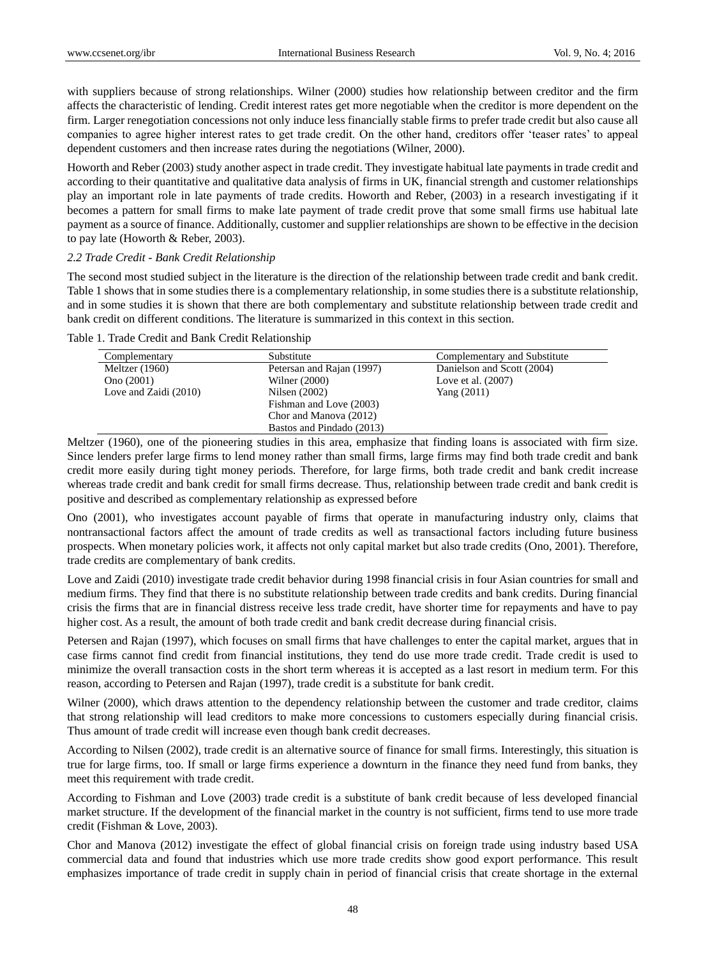with suppliers because of strong relationships. Wilner (2000) studies how relationship between creditor and the firm affects the characteristic of lending. Credit interest rates get more negotiable when the creditor is more dependent on the firm. Larger renegotiation concessions not only induce less financially stable firms to prefer trade credit but also cause all companies to agree higher interest rates to get trade credit. On the other hand, creditors offer "teaser rates" to appeal dependent customers and then increase rates during the negotiations (Wilner, 2000).

Howorth and Reber (2003) study another aspect in trade credit. They investigate habitual late payments in trade credit and according to their quantitative and qualitative data analysis of firms in UK, financial strength and customer relationships play an important role in late payments of trade credits. Howorth and Reber, (2003) in a research investigating if it becomes a pattern for small firms to make late payment of trade credit prove that some small firms use habitual late payment as a source of finance. Additionally, customer and supplier relationships are shown to be effective in the decision to pay late (Howorth & Reber, 2003).

### *2.2 Trade Credit - Bank Credit Relationship*

The second most studied subject in the literature is the direction of the relationship between trade credit and bank credit. Table 1 shows that in some studies there is a complementary relationship, in some studies there is a substitute relationship, and in some studies it is shown that there are both complementary and substitute relationship between trade credit and bank credit on different conditions. The literature is summarized in this context in this section.

Table 1. Trade Credit and Bank Credit Relationship

| Complementary         | Substitute                | Complementary and Substitute |
|-----------------------|---------------------------|------------------------------|
| Meltzer $(1960)$      | Petersan and Rajan (1997) | Danielson and Scott (2004)   |
| Ono $(2001)$          | Wilner $(2000)$           | Love et al. $(2007)$         |
| Love and Zaidi (2010) | Nilsen (2002)             | Yang $(2011)$                |
|                       | Fishman and Love (2003)   |                              |
|                       | Chor and Manova (2012)    |                              |
|                       | Bastos and Pindado (2013) |                              |

Meltzer (1960), one of the pioneering studies in this area, emphasize that finding loans is associated with firm size. Since lenders prefer large firms to lend money rather than small firms, large firms may find both trade credit and bank credit more easily during tight money periods. Therefore, for large firms, both trade credit and bank credit increase whereas trade credit and bank credit for small firms decrease. Thus, relationship between trade credit and bank credit is positive and described as complementary relationship as expressed before

Ono (2001), who investigates account payable of firms that operate in manufacturing industry only, claims that nontransactional factors affect the amount of trade credits as well as transactional factors including future business prospects. When monetary policies work, it affects not only capital market but also trade credits (Ono, 2001). Therefore, trade credits are complementary of bank credits.

Love and Zaidi (2010) investigate trade credit behavior during 1998 financial crisis in four Asian countries for small and medium firms. They find that there is no substitute relationship between trade credits and bank credits. During financial crisis the firms that are in financial distress receive less trade credit, have shorter time for repayments and have to pay higher cost. As a result, the amount of both trade credit and bank credit decrease during financial crisis.

Petersen and Rajan (1997), which focuses on small firms that have challenges to enter the capital market, argues that in case firms cannot find credit from financial institutions, they tend do use more trade credit. Trade credit is used to minimize the overall transaction costs in the short term whereas it is accepted as a last resort in medium term. For this reason, according to Petersen and Rajan (1997), trade credit is a substitute for bank credit.

Wilner (2000), which draws attention to the dependency relationship between the customer and trade creditor, claims that strong relationship will lead creditors to make more concessions to customers especially during financial crisis. Thus amount of trade credit will increase even though bank credit decreases.

According to Nilsen (2002), trade credit is an alternative source of finance for small firms. Interestingly, this situation is true for large firms, too. If small or large firms experience a downturn in the finance they need fund from banks, they meet this requirement with trade credit.

According to Fishman and Love (2003) trade credit is a substitute of bank credit because of less developed financial market structure. If the development of the financial market in the country is not sufficient, firms tend to use more trade credit (Fishman & Love, 2003).

Chor and Manova (2012) investigate the effect of global financial crisis on foreign trade using industry based USA commercial data and found that industries which use more trade credits show good export performance. This result emphasizes importance of trade credit in supply chain in period of financial crisis that create shortage in the external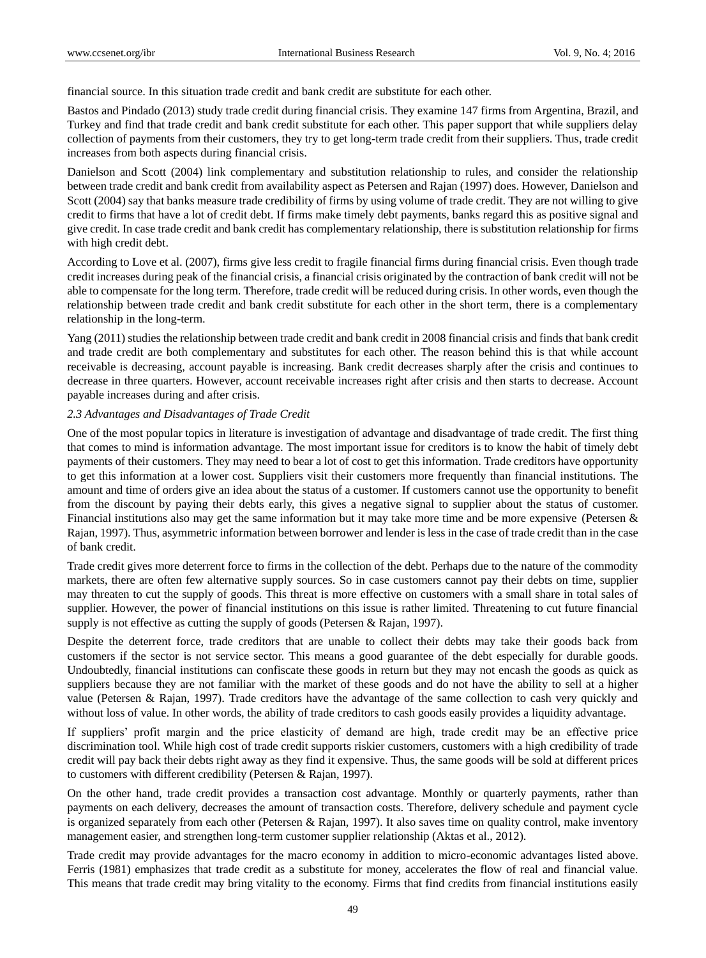financial source. In this situation trade credit and bank credit are substitute for each other.

Bastos and Pindado (2013) study trade credit during financial crisis. They examine 147 firms from Argentina, Brazil, and Turkey and find that trade credit and bank credit substitute for each other. This paper support that while suppliers delay collection of payments from their customers, they try to get long-term trade credit from their suppliers. Thus, trade credit increases from both aspects during financial crisis.

Danielson and Scott (2004) link complementary and substitution relationship to rules, and consider the relationship between trade credit and bank credit from availability aspect as Petersen and Rajan (1997) does. However, Danielson and Scott (2004) say that banks measure trade credibility of firms by using volume of trade credit. They are not willing to give credit to firms that have a lot of credit debt. If firms make timely debt payments, banks regard this as positive signal and give credit. In case trade credit and bank credit has complementary relationship, there is substitution relationship for firms with high credit debt.

According to Love et al. (2007), firms give less credit to fragile financial firms during financial crisis. Even though trade credit increases during peak of the financial crisis, a financial crisis originated by the contraction of bank credit will not be able to compensate for the long term. Therefore, trade credit will be reduced during crisis. In other words, even though the relationship between trade credit and bank credit substitute for each other in the short term, there is a complementary relationship in the long-term.

Yang (2011) studies the relationship between trade credit and bank credit in 2008 financial crisis and finds that bank credit and trade credit are both complementary and substitutes for each other. The reason behind this is that while account receivable is decreasing, account payable is increasing. Bank credit decreases sharply after the crisis and continues to decrease in three quarters. However, account receivable increases right after crisis and then starts to decrease. Account payable increases during and after crisis.

## *2.3 Advantages and Disadvantages of Trade Credit*

One of the most popular topics in literature is investigation of advantage and disadvantage of trade credit. The first thing that comes to mind is information advantage. The most important issue for creditors is to know the habit of timely debt payments of their customers. They may need to bear a lot of cost to get this information. Trade creditors have opportunity to get this information at a lower cost. Suppliers visit their customers more frequently than financial institutions. The amount and time of orders give an idea about the status of a customer. If customers cannot use the opportunity to benefit from the discount by paying their debts early, this gives a negative signal to supplier about the status of customer. Financial institutions also may get the same information but it may take more time and be more expensive (Petersen & Rajan, 1997). Thus, asymmetric information between borrower and lender is less in the case of trade credit than in the case of bank credit.

Trade credit gives more deterrent force to firms in the collection of the debt. Perhaps due to the nature of the commodity markets, there are often few alternative supply sources. So in case customers cannot pay their debts on time, supplier may threaten to cut the supply of goods. This threat is more effective on customers with a small share in total sales of supplier. However, the power of financial institutions on this issue is rather limited. Threatening to cut future financial supply is not effective as cutting the supply of goods (Petersen & Rajan, 1997).

Despite the deterrent force, trade creditors that are unable to collect their debts may take their goods back from customers if the sector is not service sector. This means a good guarantee of the debt especially for durable goods. Undoubtedly, financial institutions can confiscate these goods in return but they may not encash the goods as quick as suppliers because they are not familiar with the market of these goods and do not have the ability to sell at a higher value (Petersen & Rajan, 1997). Trade creditors have the advantage of the same collection to cash very quickly and without loss of value. In other words, the ability of trade creditors to cash goods easily provides a liquidity advantage.

If suppliers" profit margin and the price elasticity of demand are high, trade credit may be an effective price discrimination tool. While high cost of trade credit supports riskier customers, customers with a high credibility of trade credit will pay back their debts right away as they find it expensive. Thus, the same goods will be sold at different prices to customers with different credibility (Petersen & Rajan, 1997).

On the other hand, trade credit provides a transaction cost advantage. Monthly or quarterly payments, rather than payments on each delivery, decreases the amount of transaction costs. Therefore, delivery schedule and payment cycle is organized separately from each other (Petersen & Rajan, 1997). It also saves time on quality control, make inventory management easier, and strengthen long-term customer supplier relationship (Aktas et al., 2012).

Trade credit may provide advantages for the macro economy in addition to micro-economic advantages listed above. Ferris (1981) emphasizes that trade credit as a substitute for money, accelerates the flow of real and financial value. This means that trade credit may bring vitality to the economy. Firms that find credits from financial institutions easily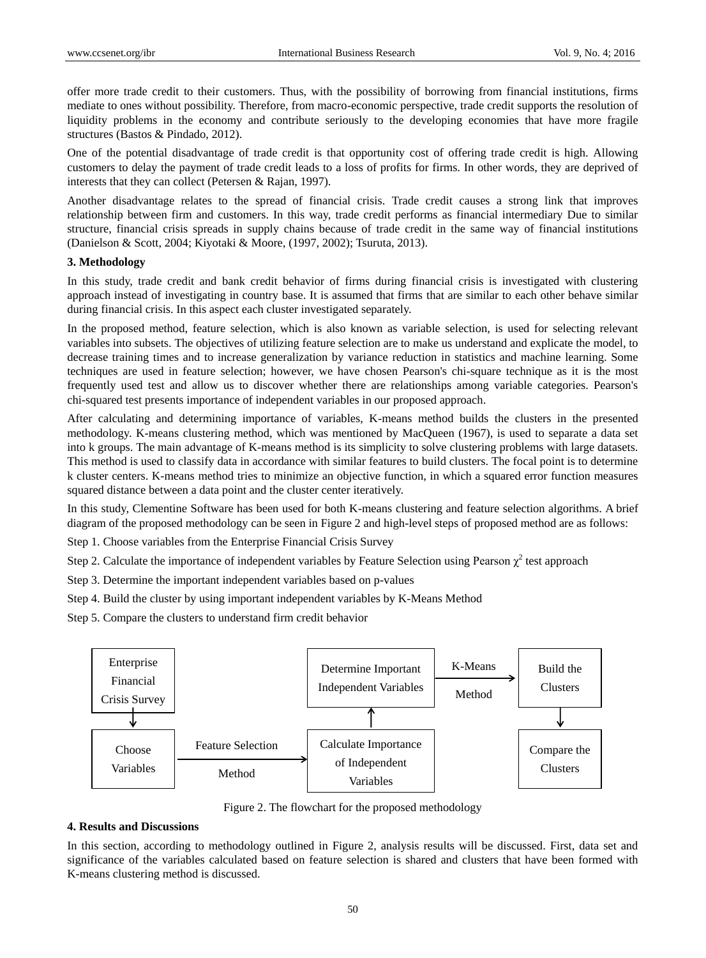offer more trade credit to their customers. Thus, with the possibility of borrowing from financial institutions, firms mediate to ones without possibility. Therefore, from macro-economic perspective, trade credit supports the resolution of liquidity problems in the economy and contribute seriously to the developing economies that have more fragile structures (Bastos & Pindado, 2012).

One of the potential disadvantage of trade credit is that opportunity cost of offering trade credit is high. Allowing customers to delay the payment of trade credit leads to a loss of profits for firms. In other words, they are deprived of interests that they can collect (Petersen & Rajan, 1997).

Another disadvantage relates to the spread of financial crisis. Trade credit causes a strong link that improves relationship between firm and customers. In this way, trade credit performs as financial intermediary Due to similar structure, financial crisis spreads in supply chains because of trade credit in the same way of financial institutions (Danielson & Scott, 2004; Kiyotaki & Moore, (1997, 2002); Tsuruta, 2013).

#### **3. Methodology**

In this study, trade credit and bank credit behavior of firms during financial crisis is investigated with clustering approach instead of investigating in country base. It is assumed that firms that are similar to each other behave similar during financial crisis. In this aspect each cluster investigated separately.

In the proposed method, feature selection, which is also known as variable selection, is used for selecting relevant variables into subsets. The objectives of utilizing feature selection are to make us understand and explicate the model, to decrease training times and to increase generalization by variance reduction in statistics and machine learning. Some techniques are used in feature selection; however, we have chosen Pearson's chi-square technique as it is the most frequently used test and allow us to discover whether there are relationships among variable categories. Pearson's chi-squared test presents importance of independent variables in our proposed approach.

After calculating and determining importance of variables, K-means method builds the clusters in the presented methodology. K-means clustering method, which was mentioned by MacQueen (1967), is used to separate a data set into k groups. The main advantage of K-means method is its simplicity to solve clustering problems with large datasets. This method is used to classify data in accordance with similar features to build clusters. The focal point is to determine k cluster centers. K-means method tries to minimize an objective function, in which a squared error function measures squared distance between a data point and the cluster center iteratively.

In this study, Clementine Software has been used for both K-means clustering and feature selection algorithms. A brief diagram of the proposed methodology can be seen in Figure 2 and high-level steps of proposed method are as follows:

Step 1. Choose variables from the Enterprise Financial Crisis Survey

Step 2. Calculate the importance of independent variables by Feature Selection using Pearson  $\chi^2$  test approach

Step 3. Determine the important independent variables based on p-values

Step 4. Build the cluster by using important independent variables by K-Means Method

Step 5. Compare the clusters to understand firm credit behavior



Figure 2. The flowchart for the proposed methodology

## **4. Results and Discussions**

In this section, according to methodology outlined in Figure 2, analysis results will be discussed. First, data set and significance of the variables calculated based on feature selection is shared and clusters that have been formed with K-means clustering method is discussed.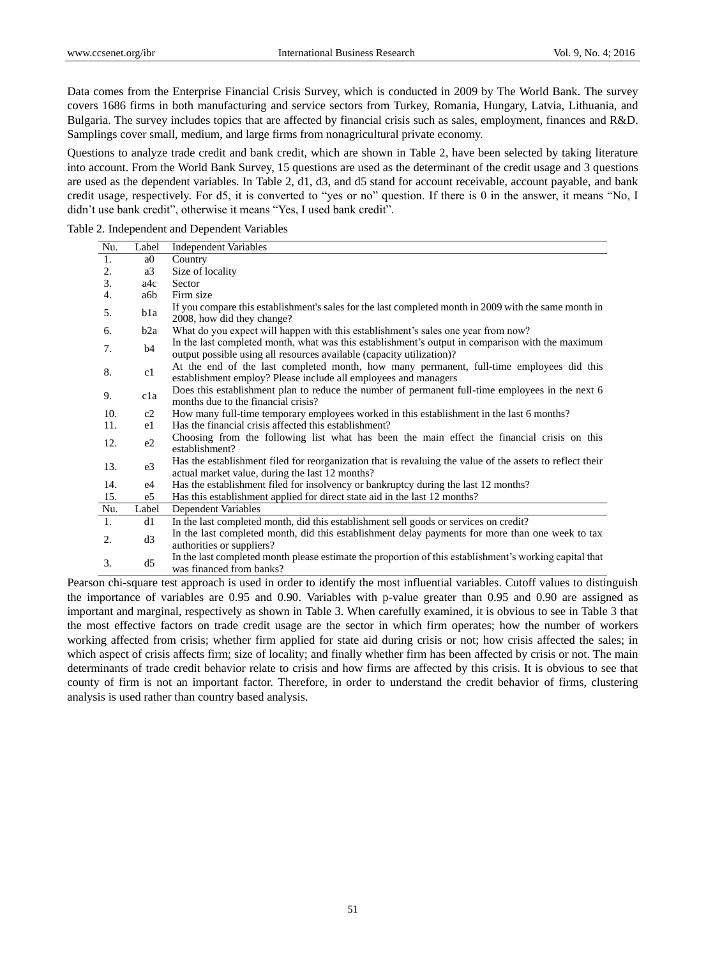Data comes from the Enterprise Financial Crisis Survey, which is conducted in 2009 by The World Bank. The survey covers 1686 firms in both manufacturing and service sectors from Turkey, Romania, Hungary, Latvia, Lithuania, and Bulgaria. The survey includes topics that are affected by financial crisis such as sales, employment, finances and R&D. Samplings cover small, medium, and large firms from nonagricultural private economy.

Questions to analyze trade credit and bank credit, which are shown in Table 2, have been selected by taking literature into account. From the World Bank Survey, 15 questions are used as the determinant of the credit usage and 3 questions are used as the dependent variables. In Table 2, d1, d3, and d5 stand for account receivable, account payable, and bank credit usage, respectively. For d5, it is converted to "yes or no" question. If there is 0 in the answer, it means "No, I didn"t use bank credit", otherwise it means "Yes, I used bank credit".

Table 2. Independent and Dependent Variables

| Nu.              | Label          | <b>Independent Variables</b>                                                                                                                                              |
|------------------|----------------|---------------------------------------------------------------------------------------------------------------------------------------------------------------------------|
| 1.               | a0             | Country                                                                                                                                                                   |
| 2.               | a3             | Size of locality                                                                                                                                                          |
| 3.               | a4c            | Sector                                                                                                                                                                    |
| 4.               | a6b            | Firm size                                                                                                                                                                 |
| 5.               | b1a            | If you compare this establishment's sales for the last completed month in 2009 with the same month in<br>2008, how did they change?                                       |
| 6.               | b2a            | What do you expect will happen with this establishment's sales one year from now?                                                                                         |
| 7.               | b4             | In the last completed month, what was this establishment's output in comparison with the maximum<br>output possible using all resources available (capacity utilization)? |
| 8.               | c1             | At the end of the last completed month, how many permanent, full-time employees did this<br>establishment employ? Please include all employees and managers               |
| 9.               | cla            | Does this establishment plan to reduce the number of permanent full-time employees in the next 6<br>months due to the financial crisis?                                   |
| 10.              | c2             | How many full-time temporary employees worked in this establishment in the last 6 months?                                                                                 |
| 11.              | e1             | Has the financial crisis affected this establishment?                                                                                                                     |
| 12.              | e2             | Choosing from the following list what has been the main effect the financial crisis on this<br>establishment?                                                             |
| 13.              | e <sub>3</sub> | Has the establishment filed for reorganization that is revaluing the value of the assets to reflect their<br>actual market value, during the last 12 months?              |
| 14.              | e4             | Has the establishment filed for insolvency or bankruptcy during the last 12 months?                                                                                       |
| 15.              | e5             | Has this establishment applied for direct state aid in the last 12 months?                                                                                                |
| Nu.              | Label          | Dependent Variables                                                                                                                                                       |
| 1.               | d1             | In the last completed month, did this establishment sell goods or services on credit?                                                                                     |
| $\overline{2}$ . | d3             | In the last completed month, did this establishment delay payments for more than one week to tax<br>authorities or suppliers?                                             |
| 3.               | d <sub>5</sub> | In the last completed month please estimate the proportion of this establishment's working capital that<br>was financed from banks?                                       |

Pearson chi-square test approach is used in order to identify the most influential variables. Cutoff values to distinguish the importance of variables are 0.95 and 0.90. Variables with p-value greater than 0.95 and 0.90 are assigned as important and marginal, respectively as shown in Table 3. When carefully examined, it is obvious to see in Table 3 that the most effective factors on trade credit usage are the sector in which firm operates; how the number of workers working affected from crisis; whether firm applied for state aid during crisis or not; how crisis affected the sales; in which aspect of crisis affects firm; size of locality; and finally whether firm has been affected by crisis or not. The main determinants of trade credit behavior relate to crisis and how firms are affected by this crisis. It is obvious to see that county of firm is not an important factor. Therefore, in order to understand the credit behavior of firms, clustering analysis is used rather than country based analysis.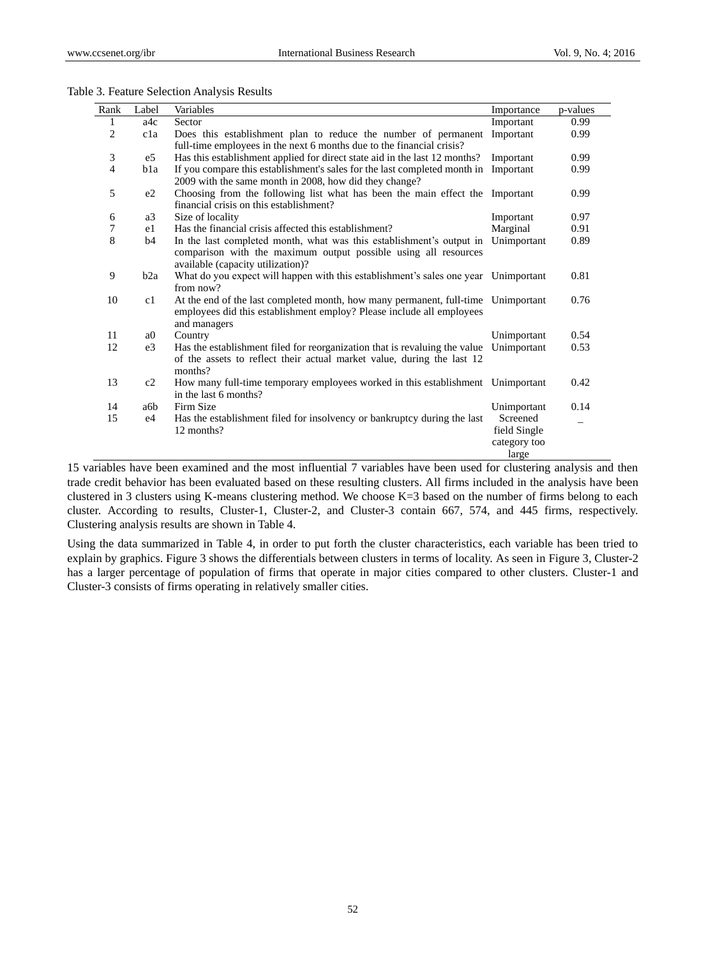| Rank                        | Label          | Variables                                                                                                                                                                    | Importance                                        | p-values |
|-----------------------------|----------------|------------------------------------------------------------------------------------------------------------------------------------------------------------------------------|---------------------------------------------------|----------|
| $\mathbf{1}$                | a4c            | Sector                                                                                                                                                                       | Important                                         | 0.99     |
| $\overline{c}$              | cla            | Does this establishment plan to reduce the number of permanent<br>full-time employees in the next 6 months due to the financial crisis?                                      | Important                                         | 0.99     |
| $\ensuremath{\mathfrak{Z}}$ | e5             | Has this establishment applied for direct state aid in the last 12 months?                                                                                                   | Important                                         | 0.99     |
| 4                           | b1a            | If you compare this establishment's sales for the last completed month in<br>2009 with the same month in 2008, how did they change?                                          | Important                                         | 0.99     |
| 5                           | e2             | Choosing from the following list what has been the main effect the Important<br>financial crisis on this establishment?                                                      |                                                   | 0.99     |
| 6                           | a3             | Size of locality                                                                                                                                                             | Important                                         | 0.97     |
| 7                           | e1             | Has the financial crisis affected this establishment?                                                                                                                        | Marginal                                          | 0.91     |
| 8                           | b4             | In the last completed month, what was this establishment's output in<br>comparison with the maximum output possible using all resources<br>available (capacity utilization)? | Unimportant                                       | 0.89     |
| 9                           | b2a            | What do you expect will happen with this establishment's sales one year Unimportant<br>from now?                                                                             |                                                   | 0.81     |
| 10                          | c1             | At the end of the last completed month, how many permanent, full-time Unimportant<br>employees did this establishment employ? Please include all employees<br>and managers   |                                                   | 0.76     |
| 11                          | a0             | Country                                                                                                                                                                      | Unimportant                                       | 0.54     |
| 12                          | e <sub>3</sub> | Has the establishment filed for reorganization that is revaluing the value<br>of the assets to reflect their actual market value, during the last 12<br>months?              | Unimportant                                       | 0.53     |
| 13                          | c2             | How many full-time temporary employees worked in this establishment Unimportant<br>in the last 6 months?                                                                     |                                                   | 0.42     |
| 14                          | a6b            | Firm Size                                                                                                                                                                    | Unimportant                                       | 0.14     |
| 15                          | e4             | Has the establishment filed for insolvency or bankruptcy during the last<br>12 months?                                                                                       | Screened<br>field Single<br>category too<br>large |          |

#### Table 3. Feature Selection Analysis Results

15 variables have been examined and the most influential 7 variables have been used for clustering analysis and then trade credit behavior has been evaluated based on these resulting clusters. All firms included in the analysis have been clustered in 3 clusters using K-means clustering method. We choose K=3 based on the number of firms belong to each cluster. According to results, Cluster-1, Cluster-2, and Cluster-3 contain 667, 574, and 445 firms, respectively. Clustering analysis results are shown in Table 4.

Using the data summarized in Table 4, in order to put forth the cluster characteristics, each variable has been tried to explain by graphics. Figure 3 shows the differentials between clusters in terms of locality. As seen in Figure 3, Cluster-2 has a larger percentage of population of firms that operate in major cities compared to other clusters. Cluster-1 and Cluster-3 consists of firms operating in relatively smaller cities.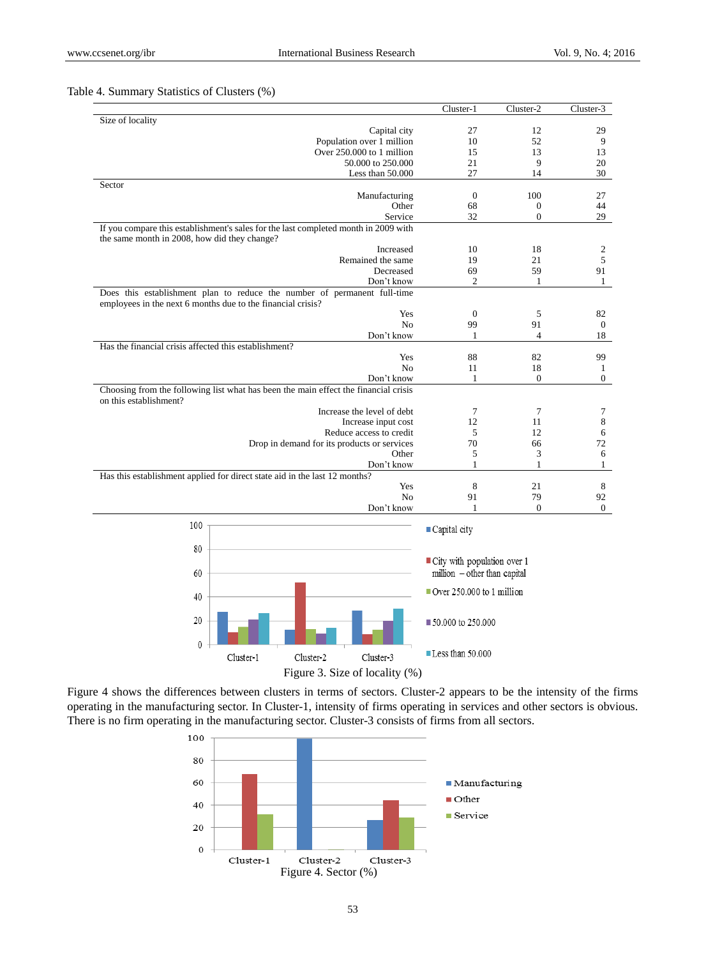## Table 4. Summary Statistics of Clusters (%)

| Capital city<br>27<br>12<br>29<br>Population over 1 million<br>10<br>52<br>9<br>Over 250.000 to 1 million<br>15<br>13<br>13<br>50.000 to 250.000<br>21<br>9<br>20<br>27<br>Less than 50.000<br>14<br>30<br>Sector<br>$\overline{0}$<br>100<br>Manufacturing<br>27<br>Other<br>68<br>$\boldsymbol{0}$<br>44<br>32<br>$\mathbf{0}$<br>29<br>Service<br>If you compare this establishment's sales for the last completed month in 2009 with<br>the same month in 2008, how did they change?<br>18<br>Increased<br>10<br>2<br>5<br>Remained the same<br>19<br>21<br>Decreased<br>69<br>59<br>91<br>$\overline{c}$<br>Don't know<br>1<br>$\mathbf{1}$<br>Does this establishment plan to reduce the number of permanent full-time<br>employees in the next 6 months due to the financial crisis?<br>5<br>Yes<br>$\boldsymbol{0}$<br>82<br>99<br>N <sub>0</sub><br>91<br>$\mathbf{0}$<br>$\overline{4}$<br>18<br>Don't know<br>1<br>Has the financial crisis affected this establishment?<br>88<br>82<br>99<br>Yes<br>No<br>11<br>18<br>$\mathbf{1}$<br>$\boldsymbol{0}$<br>Don't know<br>1<br>on this establishment?<br>$\overline{7}$<br>Increase the level of debt<br>7<br>7<br>Increase input cost<br>12<br>11<br>Reduce access to credit<br>5<br>12<br>70<br>Drop in demand for its products or services<br>66<br>72<br>Other<br>5<br>3<br>6<br>Don't know<br>$\mathbf{1}$<br>1<br>Has this establishment applied for direct state aid in the last 12 months?<br>8<br>21<br>Yes<br>N <sub>o</sub><br>91<br>79<br>Don't know<br>$\mathbf{1}$<br>$\boldsymbol{0}$<br>100<br>■ Capital city<br>80<br>$\blacksquare$ City with population over 1<br>million - other than capital<br>60<br>Over $250,000$ to 1 million<br>40<br>20<br>■ 50.000 to 250.000<br>$\mathbf 0$<br>Less than 50.000<br>Cluster-1<br>Cluster-2<br>Cluster-3<br>Figure 3. Size of locality (%) |                                                                                     | Cluster-1 | Cluster-2 | Cluster-3    |
|-----------------------------------------------------------------------------------------------------------------------------------------------------------------------------------------------------------------------------------------------------------------------------------------------------------------------------------------------------------------------------------------------------------------------------------------------------------------------------------------------------------------------------------------------------------------------------------------------------------------------------------------------------------------------------------------------------------------------------------------------------------------------------------------------------------------------------------------------------------------------------------------------------------------------------------------------------------------------------------------------------------------------------------------------------------------------------------------------------------------------------------------------------------------------------------------------------------------------------------------------------------------------------------------------------------------------------------------------------------------------------------------------------------------------------------------------------------------------------------------------------------------------------------------------------------------------------------------------------------------------------------------------------------------------------------------------------------------------------------------------------------------------------------------------------------------------------------------------------------------|-------------------------------------------------------------------------------------|-----------|-----------|--------------|
|                                                                                                                                                                                                                                                                                                                                                                                                                                                                                                                                                                                                                                                                                                                                                                                                                                                                                                                                                                                                                                                                                                                                                                                                                                                                                                                                                                                                                                                                                                                                                                                                                                                                                                                                                                                                                                                                 | Size of locality                                                                    |           |           |              |
|                                                                                                                                                                                                                                                                                                                                                                                                                                                                                                                                                                                                                                                                                                                                                                                                                                                                                                                                                                                                                                                                                                                                                                                                                                                                                                                                                                                                                                                                                                                                                                                                                                                                                                                                                                                                                                                                 |                                                                                     |           |           |              |
|                                                                                                                                                                                                                                                                                                                                                                                                                                                                                                                                                                                                                                                                                                                                                                                                                                                                                                                                                                                                                                                                                                                                                                                                                                                                                                                                                                                                                                                                                                                                                                                                                                                                                                                                                                                                                                                                 |                                                                                     |           |           |              |
|                                                                                                                                                                                                                                                                                                                                                                                                                                                                                                                                                                                                                                                                                                                                                                                                                                                                                                                                                                                                                                                                                                                                                                                                                                                                                                                                                                                                                                                                                                                                                                                                                                                                                                                                                                                                                                                                 |                                                                                     |           |           |              |
|                                                                                                                                                                                                                                                                                                                                                                                                                                                                                                                                                                                                                                                                                                                                                                                                                                                                                                                                                                                                                                                                                                                                                                                                                                                                                                                                                                                                                                                                                                                                                                                                                                                                                                                                                                                                                                                                 |                                                                                     |           |           |              |
|                                                                                                                                                                                                                                                                                                                                                                                                                                                                                                                                                                                                                                                                                                                                                                                                                                                                                                                                                                                                                                                                                                                                                                                                                                                                                                                                                                                                                                                                                                                                                                                                                                                                                                                                                                                                                                                                 |                                                                                     |           |           |              |
|                                                                                                                                                                                                                                                                                                                                                                                                                                                                                                                                                                                                                                                                                                                                                                                                                                                                                                                                                                                                                                                                                                                                                                                                                                                                                                                                                                                                                                                                                                                                                                                                                                                                                                                                                                                                                                                                 |                                                                                     |           |           |              |
|                                                                                                                                                                                                                                                                                                                                                                                                                                                                                                                                                                                                                                                                                                                                                                                                                                                                                                                                                                                                                                                                                                                                                                                                                                                                                                                                                                                                                                                                                                                                                                                                                                                                                                                                                                                                                                                                 |                                                                                     |           |           |              |
|                                                                                                                                                                                                                                                                                                                                                                                                                                                                                                                                                                                                                                                                                                                                                                                                                                                                                                                                                                                                                                                                                                                                                                                                                                                                                                                                                                                                                                                                                                                                                                                                                                                                                                                                                                                                                                                                 |                                                                                     |           |           |              |
|                                                                                                                                                                                                                                                                                                                                                                                                                                                                                                                                                                                                                                                                                                                                                                                                                                                                                                                                                                                                                                                                                                                                                                                                                                                                                                                                                                                                                                                                                                                                                                                                                                                                                                                                                                                                                                                                 |                                                                                     |           |           |              |
|                                                                                                                                                                                                                                                                                                                                                                                                                                                                                                                                                                                                                                                                                                                                                                                                                                                                                                                                                                                                                                                                                                                                                                                                                                                                                                                                                                                                                                                                                                                                                                                                                                                                                                                                                                                                                                                                 |                                                                                     |           |           |              |
|                                                                                                                                                                                                                                                                                                                                                                                                                                                                                                                                                                                                                                                                                                                                                                                                                                                                                                                                                                                                                                                                                                                                                                                                                                                                                                                                                                                                                                                                                                                                                                                                                                                                                                                                                                                                                                                                 |                                                                                     |           |           |              |
|                                                                                                                                                                                                                                                                                                                                                                                                                                                                                                                                                                                                                                                                                                                                                                                                                                                                                                                                                                                                                                                                                                                                                                                                                                                                                                                                                                                                                                                                                                                                                                                                                                                                                                                                                                                                                                                                 |                                                                                     |           |           |              |
|                                                                                                                                                                                                                                                                                                                                                                                                                                                                                                                                                                                                                                                                                                                                                                                                                                                                                                                                                                                                                                                                                                                                                                                                                                                                                                                                                                                                                                                                                                                                                                                                                                                                                                                                                                                                                                                                 |                                                                                     |           |           |              |
|                                                                                                                                                                                                                                                                                                                                                                                                                                                                                                                                                                                                                                                                                                                                                                                                                                                                                                                                                                                                                                                                                                                                                                                                                                                                                                                                                                                                                                                                                                                                                                                                                                                                                                                                                                                                                                                                 |                                                                                     |           |           |              |
|                                                                                                                                                                                                                                                                                                                                                                                                                                                                                                                                                                                                                                                                                                                                                                                                                                                                                                                                                                                                                                                                                                                                                                                                                                                                                                                                                                                                                                                                                                                                                                                                                                                                                                                                                                                                                                                                 |                                                                                     |           |           |              |
|                                                                                                                                                                                                                                                                                                                                                                                                                                                                                                                                                                                                                                                                                                                                                                                                                                                                                                                                                                                                                                                                                                                                                                                                                                                                                                                                                                                                                                                                                                                                                                                                                                                                                                                                                                                                                                                                 |                                                                                     |           |           |              |
|                                                                                                                                                                                                                                                                                                                                                                                                                                                                                                                                                                                                                                                                                                                                                                                                                                                                                                                                                                                                                                                                                                                                                                                                                                                                                                                                                                                                                                                                                                                                                                                                                                                                                                                                                                                                                                                                 |                                                                                     |           |           |              |
|                                                                                                                                                                                                                                                                                                                                                                                                                                                                                                                                                                                                                                                                                                                                                                                                                                                                                                                                                                                                                                                                                                                                                                                                                                                                                                                                                                                                                                                                                                                                                                                                                                                                                                                                                                                                                                                                 |                                                                                     |           |           |              |
|                                                                                                                                                                                                                                                                                                                                                                                                                                                                                                                                                                                                                                                                                                                                                                                                                                                                                                                                                                                                                                                                                                                                                                                                                                                                                                                                                                                                                                                                                                                                                                                                                                                                                                                                                                                                                                                                 |                                                                                     |           |           |              |
|                                                                                                                                                                                                                                                                                                                                                                                                                                                                                                                                                                                                                                                                                                                                                                                                                                                                                                                                                                                                                                                                                                                                                                                                                                                                                                                                                                                                                                                                                                                                                                                                                                                                                                                                                                                                                                                                 |                                                                                     |           |           |              |
|                                                                                                                                                                                                                                                                                                                                                                                                                                                                                                                                                                                                                                                                                                                                                                                                                                                                                                                                                                                                                                                                                                                                                                                                                                                                                                                                                                                                                                                                                                                                                                                                                                                                                                                                                                                                                                                                 |                                                                                     |           |           |              |
|                                                                                                                                                                                                                                                                                                                                                                                                                                                                                                                                                                                                                                                                                                                                                                                                                                                                                                                                                                                                                                                                                                                                                                                                                                                                                                                                                                                                                                                                                                                                                                                                                                                                                                                                                                                                                                                                 |                                                                                     |           |           |              |
|                                                                                                                                                                                                                                                                                                                                                                                                                                                                                                                                                                                                                                                                                                                                                                                                                                                                                                                                                                                                                                                                                                                                                                                                                                                                                                                                                                                                                                                                                                                                                                                                                                                                                                                                                                                                                                                                 |                                                                                     |           |           | $\mathbf{0}$ |
|                                                                                                                                                                                                                                                                                                                                                                                                                                                                                                                                                                                                                                                                                                                                                                                                                                                                                                                                                                                                                                                                                                                                                                                                                                                                                                                                                                                                                                                                                                                                                                                                                                                                                                                                                                                                                                                                 | Choosing from the following list what has been the main effect the financial crisis |           |           |              |
|                                                                                                                                                                                                                                                                                                                                                                                                                                                                                                                                                                                                                                                                                                                                                                                                                                                                                                                                                                                                                                                                                                                                                                                                                                                                                                                                                                                                                                                                                                                                                                                                                                                                                                                                                                                                                                                                 |                                                                                     |           |           |              |
|                                                                                                                                                                                                                                                                                                                                                                                                                                                                                                                                                                                                                                                                                                                                                                                                                                                                                                                                                                                                                                                                                                                                                                                                                                                                                                                                                                                                                                                                                                                                                                                                                                                                                                                                                                                                                                                                 |                                                                                     |           |           | 8            |
|                                                                                                                                                                                                                                                                                                                                                                                                                                                                                                                                                                                                                                                                                                                                                                                                                                                                                                                                                                                                                                                                                                                                                                                                                                                                                                                                                                                                                                                                                                                                                                                                                                                                                                                                                                                                                                                                 |                                                                                     |           |           | 6            |
|                                                                                                                                                                                                                                                                                                                                                                                                                                                                                                                                                                                                                                                                                                                                                                                                                                                                                                                                                                                                                                                                                                                                                                                                                                                                                                                                                                                                                                                                                                                                                                                                                                                                                                                                                                                                                                                                 |                                                                                     |           |           |              |
|                                                                                                                                                                                                                                                                                                                                                                                                                                                                                                                                                                                                                                                                                                                                                                                                                                                                                                                                                                                                                                                                                                                                                                                                                                                                                                                                                                                                                                                                                                                                                                                                                                                                                                                                                                                                                                                                 |                                                                                     |           |           |              |
|                                                                                                                                                                                                                                                                                                                                                                                                                                                                                                                                                                                                                                                                                                                                                                                                                                                                                                                                                                                                                                                                                                                                                                                                                                                                                                                                                                                                                                                                                                                                                                                                                                                                                                                                                                                                                                                                 |                                                                                     |           |           | $\mathbf{1}$ |
|                                                                                                                                                                                                                                                                                                                                                                                                                                                                                                                                                                                                                                                                                                                                                                                                                                                                                                                                                                                                                                                                                                                                                                                                                                                                                                                                                                                                                                                                                                                                                                                                                                                                                                                                                                                                                                                                 |                                                                                     |           |           |              |
|                                                                                                                                                                                                                                                                                                                                                                                                                                                                                                                                                                                                                                                                                                                                                                                                                                                                                                                                                                                                                                                                                                                                                                                                                                                                                                                                                                                                                                                                                                                                                                                                                                                                                                                                                                                                                                                                 |                                                                                     |           |           | 8            |
|                                                                                                                                                                                                                                                                                                                                                                                                                                                                                                                                                                                                                                                                                                                                                                                                                                                                                                                                                                                                                                                                                                                                                                                                                                                                                                                                                                                                                                                                                                                                                                                                                                                                                                                                                                                                                                                                 |                                                                                     |           |           | 92           |
|                                                                                                                                                                                                                                                                                                                                                                                                                                                                                                                                                                                                                                                                                                                                                                                                                                                                                                                                                                                                                                                                                                                                                                                                                                                                                                                                                                                                                                                                                                                                                                                                                                                                                                                                                                                                                                                                 |                                                                                     |           |           | $\mathbf{0}$ |
|                                                                                                                                                                                                                                                                                                                                                                                                                                                                                                                                                                                                                                                                                                                                                                                                                                                                                                                                                                                                                                                                                                                                                                                                                                                                                                                                                                                                                                                                                                                                                                                                                                                                                                                                                                                                                                                                 |                                                                                     |           |           |              |
|                                                                                                                                                                                                                                                                                                                                                                                                                                                                                                                                                                                                                                                                                                                                                                                                                                                                                                                                                                                                                                                                                                                                                                                                                                                                                                                                                                                                                                                                                                                                                                                                                                                                                                                                                                                                                                                                 |                                                                                     |           |           |              |
|                                                                                                                                                                                                                                                                                                                                                                                                                                                                                                                                                                                                                                                                                                                                                                                                                                                                                                                                                                                                                                                                                                                                                                                                                                                                                                                                                                                                                                                                                                                                                                                                                                                                                                                                                                                                                                                                 |                                                                                     |           |           |              |
|                                                                                                                                                                                                                                                                                                                                                                                                                                                                                                                                                                                                                                                                                                                                                                                                                                                                                                                                                                                                                                                                                                                                                                                                                                                                                                                                                                                                                                                                                                                                                                                                                                                                                                                                                                                                                                                                 |                                                                                     |           |           |              |
|                                                                                                                                                                                                                                                                                                                                                                                                                                                                                                                                                                                                                                                                                                                                                                                                                                                                                                                                                                                                                                                                                                                                                                                                                                                                                                                                                                                                                                                                                                                                                                                                                                                                                                                                                                                                                                                                 |                                                                                     |           |           |              |
|                                                                                                                                                                                                                                                                                                                                                                                                                                                                                                                                                                                                                                                                                                                                                                                                                                                                                                                                                                                                                                                                                                                                                                                                                                                                                                                                                                                                                                                                                                                                                                                                                                                                                                                                                                                                                                                                 |                                                                                     |           |           |              |
|                                                                                                                                                                                                                                                                                                                                                                                                                                                                                                                                                                                                                                                                                                                                                                                                                                                                                                                                                                                                                                                                                                                                                                                                                                                                                                                                                                                                                                                                                                                                                                                                                                                                                                                                                                                                                                                                 |                                                                                     |           |           |              |
|                                                                                                                                                                                                                                                                                                                                                                                                                                                                                                                                                                                                                                                                                                                                                                                                                                                                                                                                                                                                                                                                                                                                                                                                                                                                                                                                                                                                                                                                                                                                                                                                                                                                                                                                                                                                                                                                 |                                                                                     |           |           |              |
|                                                                                                                                                                                                                                                                                                                                                                                                                                                                                                                                                                                                                                                                                                                                                                                                                                                                                                                                                                                                                                                                                                                                                                                                                                                                                                                                                                                                                                                                                                                                                                                                                                                                                                                                                                                                                                                                 |                                                                                     |           |           |              |
|                                                                                                                                                                                                                                                                                                                                                                                                                                                                                                                                                                                                                                                                                                                                                                                                                                                                                                                                                                                                                                                                                                                                                                                                                                                                                                                                                                                                                                                                                                                                                                                                                                                                                                                                                                                                                                                                 |                                                                                     |           |           |              |
|                                                                                                                                                                                                                                                                                                                                                                                                                                                                                                                                                                                                                                                                                                                                                                                                                                                                                                                                                                                                                                                                                                                                                                                                                                                                                                                                                                                                                                                                                                                                                                                                                                                                                                                                                                                                                                                                 |                                                                                     |           |           |              |
|                                                                                                                                                                                                                                                                                                                                                                                                                                                                                                                                                                                                                                                                                                                                                                                                                                                                                                                                                                                                                                                                                                                                                                                                                                                                                                                                                                                                                                                                                                                                                                                                                                                                                                                                                                                                                                                                 |                                                                                     |           |           |              |
|                                                                                                                                                                                                                                                                                                                                                                                                                                                                                                                                                                                                                                                                                                                                                                                                                                                                                                                                                                                                                                                                                                                                                                                                                                                                                                                                                                                                                                                                                                                                                                                                                                                                                                                                                                                                                                                                 |                                                                                     |           |           |              |

Figure 4 shows the differences between clusters in terms of sectors. Cluster-2 appears to be the intensity of the firms operating in the manufacturing sector. In Cluster-1, intensity of firms operating in services and other sectors is obvious. There is no firm operating in the manufacturing sector. Cluster-3 consists of firms from all sectors.

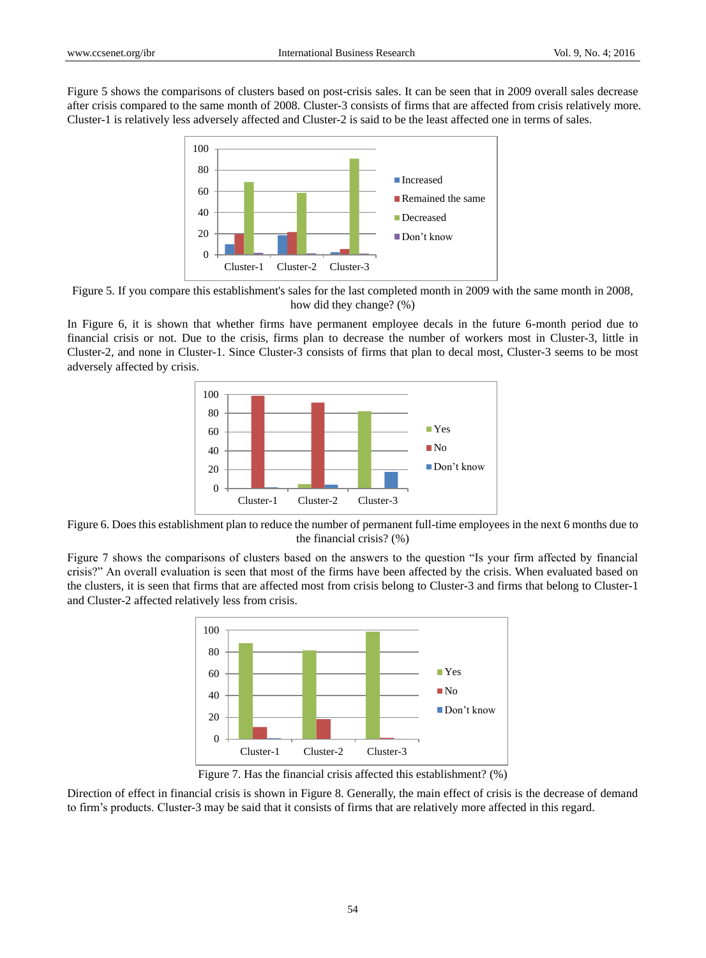Figure 5 shows the comparisons of clusters based on post-crisis sales. It can be seen that in 2009 overall sales decrease after crisis compared to the same month of 2008. Cluster-3 consists of firms that are affected from crisis relatively more. Cluster-1 is relatively less adversely affected and Cluster-2 is said to be the least affected one in terms of sales.



Figure 5. If you compare this establishment's sales for the last completed month in 2009 with the same month in 2008, how did they change? (%)

In Figure 6, it is shown that whether firms have permanent employee decals in the future 6-month period due to financial crisis or not. Due to the crisis, firms plan to decrease the number of workers most in Cluster-3, little in Cluster-2, and none in Cluster-1. Since Cluster-3 consists of firms that plan to decal most, Cluster-3 seems to be most adversely affected by crisis.



Figure 6. Does this establishment plan to reduce the number of permanent full-time employees in the next 6 months due to the financial crisis? (%)

Figure 7 shows the comparisons of clusters based on the answers to the question "Is your firm affected by financial crisis?" An overall evaluation is seen that most of the firms have been affected by the crisis. When evaluated based on the clusters, it is seen that firms that are affected most from crisis belong to Cluster-3 and firms that belong to Cluster-1 and Cluster-2 affected relatively less from crisis.



Figure 7. Has the financial crisis affected this establishment? (%)

Direction of effect in financial crisis is shown in Figure 8. Generally, the main effect of crisis is the decrease of demand to firm"s products. Cluster-3 may be said that it consists of firms that are relatively more affected in this regard.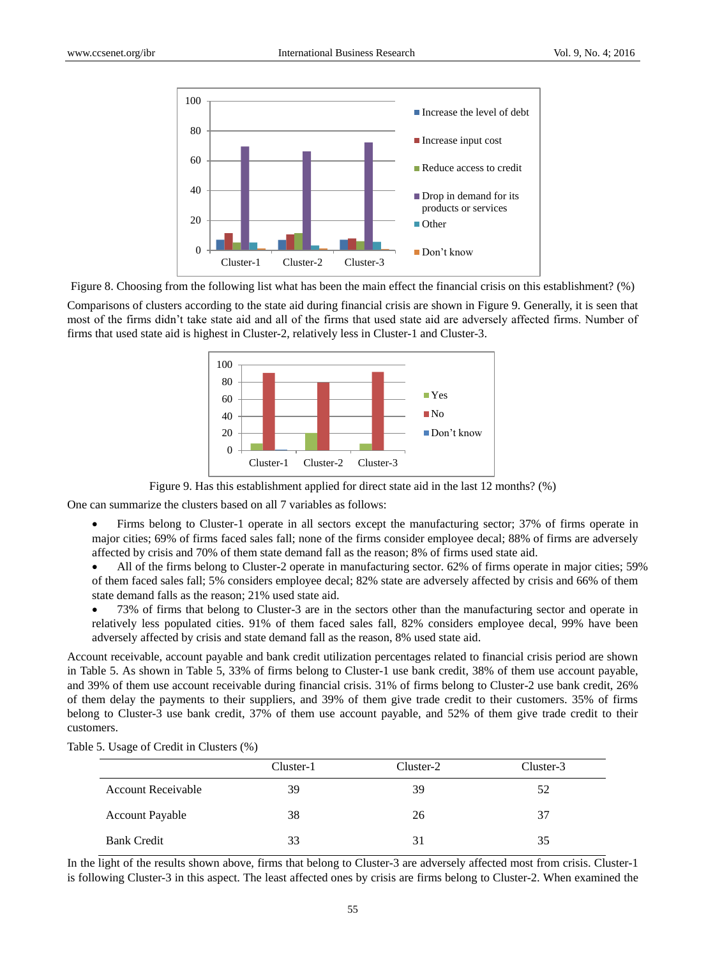

Figure 8. Choosing from the following list what has been the main effect the financial crisis on this establishment? (%)

Comparisons of clusters according to the state aid during financial crisis are shown in Figure 9. Generally, it is seen that most of the firms didn"t take state aid and all of the firms that used state aid are adversely affected firms. Number of firms that used state aid is highest in Cluster-2, relatively less in Cluster-1 and Cluster-3.



Figure 9. Has this establishment applied for direct state aid in the last 12 months? (%)

One can summarize the clusters based on all 7 variables as follows:

- Firms belong to Cluster-1 operate in all sectors except the manufacturing sector; 37% of firms operate in major cities; 69% of firms faced sales fall; none of the firms consider employee decal; 88% of firms are adversely affected by crisis and 70% of them state demand fall as the reason; 8% of firms used state aid.
- All of the firms belong to Cluster-2 operate in manufacturing sector. 62% of firms operate in major cities; 59% of them faced sales fall; 5% considers employee decal; 82% state are adversely affected by crisis and 66% of them state demand falls as the reason; 21% used state aid.
- 73% of firms that belong to Cluster-3 are in the sectors other than the manufacturing sector and operate in relatively less populated cities. 91% of them faced sales fall, 82% considers employee decal, 99% have been adversely affected by crisis and state demand fall as the reason, 8% used state aid.

Account receivable, account payable and bank credit utilization percentages related to financial crisis period are shown in Table 5. As shown in Table 5, 33% of firms belong to Cluster-1 use bank credit, 38% of them use account payable, and 39% of them use account receivable during financial crisis. 31% of firms belong to Cluster-2 use bank credit, 26% of them delay the payments to their suppliers, and 39% of them give trade credit to their customers. 35% of firms belong to Cluster-3 use bank credit, 37% of them use account payable, and 52% of them give trade credit to their customers.

|                           | Cluster-1 | Cluster-2 | Cluster-3 |
|---------------------------|-----------|-----------|-----------|
| <b>Account Receivable</b> | 39        | 39        | 52        |
| <b>Account Payable</b>    | 38        | 26        | 37        |
| <b>Bank Credit</b>        | 33        | 31        | 35        |

Table 5. Usage of Credit in Clusters (%)

In the light of the results shown above, firms that belong to Cluster-3 are adversely affected most from crisis. Cluster-1 is following Cluster-3 in this aspect. The least affected ones by crisis are firms belong to Cluster-2. When examined the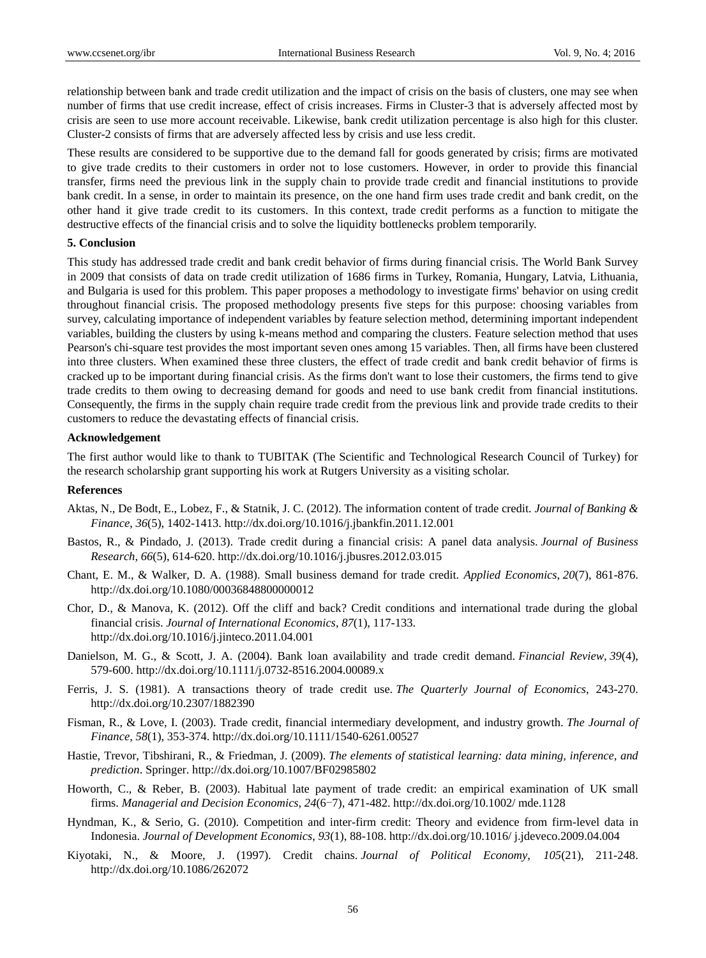relationship between bank and trade credit utilization and the impact of crisis on the basis of clusters, one may see when number of firms that use credit increase, effect of crisis increases. Firms in Cluster-3 that is adversely affected most by crisis are seen to use more account receivable. Likewise, bank credit utilization percentage is also high for this cluster. Cluster-2 consists of firms that are adversely affected less by crisis and use less credit.

These results are considered to be supportive due to the demand fall for goods generated by crisis; firms are motivated to give trade credits to their customers in order not to lose customers. However, in order to provide this financial transfer, firms need the previous link in the supply chain to provide trade credit and financial institutions to provide bank credit. In a sense, in order to maintain its presence, on the one hand firm uses trade credit and bank credit, on the other hand it give trade credit to its customers. In this context, trade credit performs as a function to mitigate the destructive effects of the financial crisis and to solve the liquidity bottlenecks problem temporarily.

#### **5. Conclusion**

This study has addressed trade credit and bank credit behavior of firms during financial crisis. The World Bank Survey in 2009 that consists of data on trade credit utilization of 1686 firms in Turkey, Romania, Hungary, Latvia, Lithuania, and Bulgaria is used for this problem. This paper proposes a methodology to investigate firms' behavior on using credit throughout financial crisis. The proposed methodology presents five steps for this purpose: choosing variables from survey, calculating importance of independent variables by feature selection method, determining important independent variables, building the clusters by using k-means method and comparing the clusters. Feature selection method that uses Pearson's chi-square test provides the most important seven ones among 15 variables. Then, all firms have been clustered into three clusters. When examined these three clusters, the effect of trade credit and bank credit behavior of firms is cracked up to be important during financial crisis. As the firms don't want to lose their customers, the firms tend to give trade credits to them owing to decreasing demand for goods and need to use bank credit from financial institutions. Consequently, the firms in the supply chain require trade credit from the previous link and provide trade credits to their customers to reduce the devastating effects of financial crisis.

### **Acknowledgement**

The first author would like to thank to TUBITAK (The Scientific and Technological Research Council of Turkey) for the research scholarship grant supporting his work at Rutgers University as a visiting scholar.

#### **References**

- Aktas, N., De Bodt, E., Lobez, F., & Statnik, J. C. (2012). The information content of trade credit. *Journal of Banking & Finance*, *36*(5), 1402-1413. http://dx.doi.org/10.1016/j.jbankfin.2011.12.001
- Bastos, R., & Pindado, J. (2013). Trade credit during a financial crisis: A panel data analysis. *Journal of Business Research*, *66*(5), 614-620. http://dx.doi.org/10.1016/j.jbusres.2012.03.015
- Chant, E. M., & Walker, D. A. (1988). Small business demand for trade credit. *Applied Economics*, *20*(7), 861-876. http://dx.doi.org/10.1080/00036848800000012
- Chor, D., & Manova, K. (2012). Off the cliff and back? Credit conditions and international trade during the global financial crisis. *Journal of International Economics*, *87*(1), 117-133. http://dx.doi.org/10.1016/j.jinteco.2011.04.001
- Danielson, M. G., & Scott, J. A. (2004). Bank loan availability and trade credit demand. *Financial Review*, *39*(4), 579-600. http://dx.doi.org/10.1111/j.0732-8516.2004.00089.x
- Ferris, J. S. (1981). A transactions theory of trade credit use. *The Quarterly Journal of Economics*, 243-270. http://dx.doi.org/10.2307/1882390
- Fisman, R., & Love, I. (2003). Trade credit, financial intermediary development, and industry growth. *The Journal of Finance*, *58*(1), 353-374. http://dx.doi.org/10.1111/1540-6261.00527
- Hastie, Trevor, Tibshirani, R., & Friedman, J. (2009). *The elements of statistical learning: data mining, inference, and prediction*. Springer. http://dx.doi.org/10.1007/BF02985802
- Howorth, C., & Reber, B. (2003). Habitual late payment of trade credit: an empirical examination of UK small firms. *Managerial and Decision Economics*, *24*(6-7), 471-482. http://dx.doi.org/10.1002/ mde.1128
- Hyndman, K., & Serio, G. (2010). Competition and inter-firm credit: Theory and evidence from firm-level data in Indonesia. *Journal of Development Economics*, *93*(1), 88-108. http://dx.doi.org/10.1016/ j.jdeveco.2009.04.004
- Kiyotaki, N., & Moore, J. (1997). Credit chains. *Journal of Political Economy*, *105*(21), 211-248. http://dx.doi.org/10.1086/262072